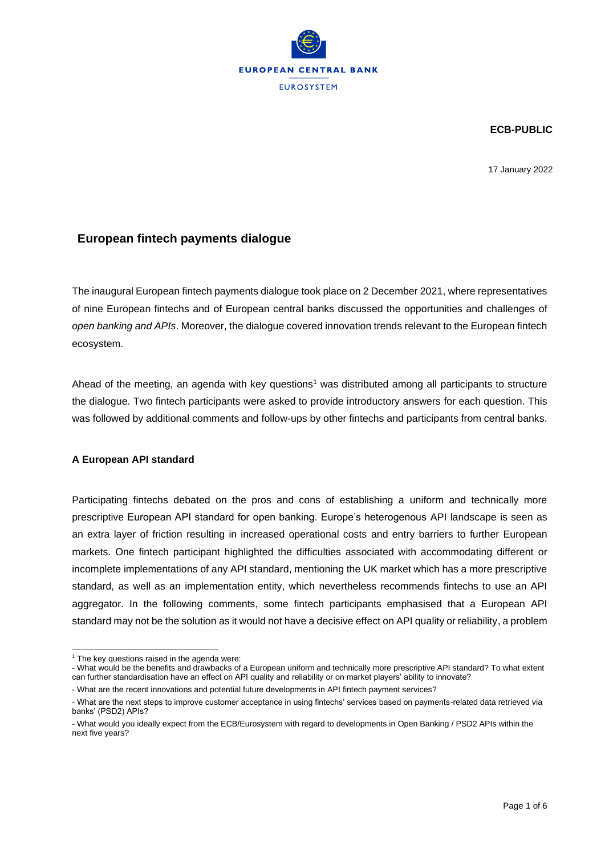

**ECB-PUBLIC**

17 January 2022

## **European fintech payments dialogue**

The inaugural European fintech payments dialogue took place on 2 December 2021, where representatives of nine European fintechs and of European central banks discussed the opportunities and challenges of *open banking and APIs*. Moreover, the dialogue covered innovation trends relevant to the European fintech ecosystem.

Ahead of the meeting, an agenda with key questions<sup>1</sup> was distributed among all participants to structure the dialogue. Two fintech participants were asked to provide introductory answers for each question. This was followed by additional comments and follow-ups by other fintechs and participants from central banks.

## **A European API standard**

Participating fintechs debated on the pros and cons of establishing a uniform and technically more prescriptive European API standard for open banking. Europe's heterogenous API landscape is seen as an extra layer of friction resulting in increased operational costs and entry barriers to further European markets. One fintech participant highlighted the difficulties associated with accommodating different or incomplete implementations of any API standard, mentioning the UK market which has a more prescriptive standard, as well as an implementation entity, which nevertheless recommends fintechs to use an API aggregator. In the following comments, some fintech participants emphasised that a European API standard may not be the solution as it would not have a decisive effect on API quality or reliability, a problem

- What would be the benefits and drawbacks of a European uniform and technically more prescriptive API standard? To what extent can further standardisation have an effect on API quality and reliability or on market players' ability to innovate?

 $1$  The key questions raised in the agenda were:

<sup>-</sup> What are the recent innovations and potential future developments in API fintech payment services?

<sup>-</sup> What are the next steps to improve customer acceptance in using fintechs' services based on payments-related data retrieved via banks' (PSD2) APIs?

<sup>-</sup> What would you ideally expect from the ECB/Eurosystem with regard to developments in Open Banking / PSD2 APIs within the next five years?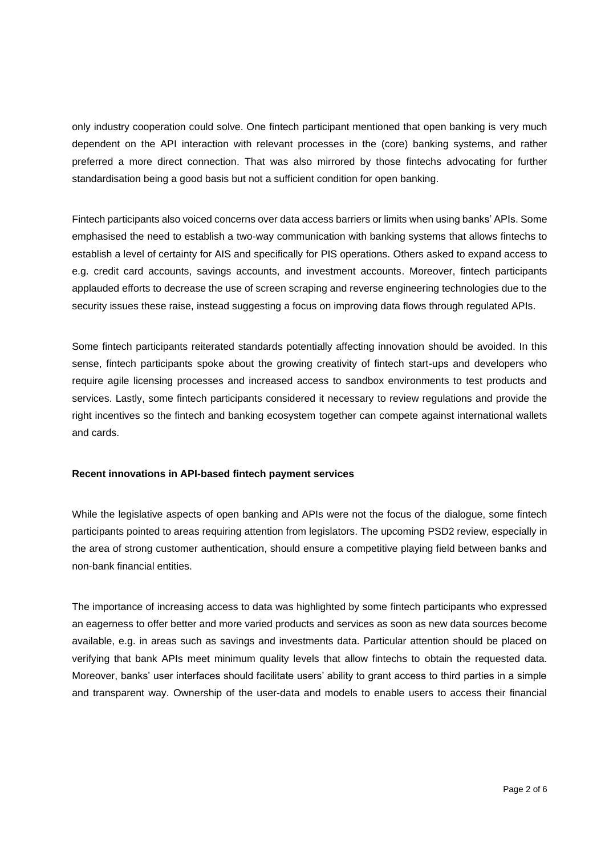only industry cooperation could solve. One fintech participant mentioned that open banking is very much dependent on the API interaction with relevant processes in the (core) banking systems, and rather preferred a more direct connection. That was also mirrored by those fintechs advocating for further standardisation being a good basis but not a sufficient condition for open banking.

Fintech participants also voiced concerns over data access barriers or limits when using banks' APIs. Some emphasised the need to establish a two-way communication with banking systems that allows fintechs to establish a level of certainty for AIS and specifically for PIS operations. Others asked to expand access to e.g. credit card accounts, savings accounts, and investment accounts. Moreover, fintech participants applauded efforts to decrease the use of screen scraping and reverse engineering technologies due to the security issues these raise, instead suggesting a focus on improving data flows through regulated APIs.

Some fintech participants reiterated standards potentially affecting innovation should be avoided. In this sense, fintech participants spoke about the growing creativity of fintech start-ups and developers who require agile licensing processes and increased access to sandbox environments to test products and services. Lastly, some fintech participants considered it necessary to review regulations and provide the right incentives so the fintech and banking ecosystem together can compete against international wallets and cards.

### **Recent innovations in API-based fintech payment services**

While the legislative aspects of open banking and APIs were not the focus of the dialogue, some fintech participants pointed to areas requiring attention from legislators. The upcoming PSD2 review, especially in the area of strong customer authentication, should ensure a competitive playing field between banks and non-bank financial entities.

The importance of increasing access to data was highlighted by some fintech participants who expressed an eagerness to offer better and more varied products and services as soon as new data sources become available, e.g. in areas such as savings and investments data. Particular attention should be placed on verifying that bank APIs meet minimum quality levels that allow fintechs to obtain the requested data. Moreover, banks' user interfaces should facilitate users' ability to grant access to third parties in a simple and transparent way. Ownership of the user-data and models to enable users to access their financial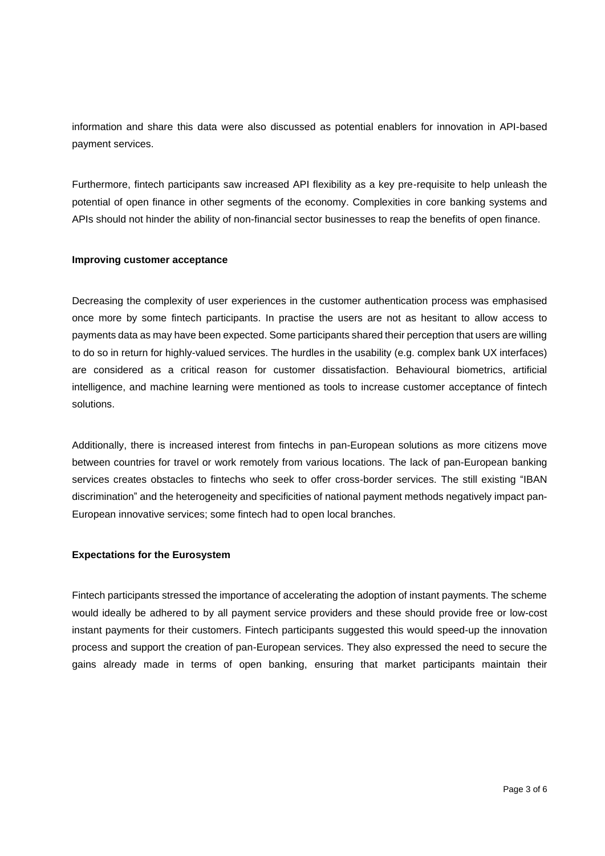information and share this data were also discussed as potential enablers for innovation in API-based payment services.

Furthermore, fintech participants saw increased API flexibility as a key pre-requisite to help unleash the potential of open finance in other segments of the economy. Complexities in core banking systems and APIs should not hinder the ability of non-financial sector businesses to reap the benefits of open finance.

### **Improving customer acceptance**

Decreasing the complexity of user experiences in the customer authentication process was emphasised once more by some fintech participants. In practise the users are not as hesitant to allow access to payments data as may have been expected. Some participants shared their perception that users are willing to do so in return for highly-valued services. The hurdles in the usability (e.g. complex bank UX interfaces) are considered as a critical reason for customer dissatisfaction. Behavioural biometrics, artificial intelligence, and machine learning were mentioned as tools to increase customer acceptance of fintech solutions.

Additionally, there is increased interest from fintechs in pan-European solutions as more citizens move between countries for travel or work remotely from various locations. The lack of pan-European banking services creates obstacles to fintechs who seek to offer cross-border services. The still existing "IBAN discrimination" and the heterogeneity and specificities of national payment methods negatively impact pan-European innovative services; some fintech had to open local branches.

#### **Expectations for the Eurosystem**

Fintech participants stressed the importance of accelerating the adoption of instant payments. The scheme would ideally be adhered to by all payment service providers and these should provide free or low-cost instant payments for their customers. Fintech participants suggested this would speed-up the innovation process and support the creation of pan-European services. They also expressed the need to secure the gains already made in terms of open banking, ensuring that market participants maintain their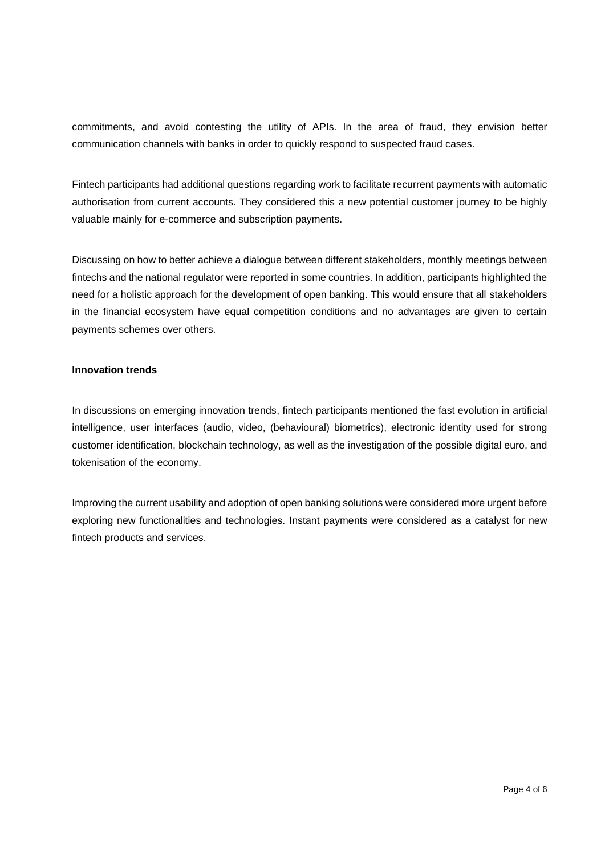commitments, and avoid contesting the utility of APIs. In the area of fraud, they envision better communication channels with banks in order to quickly respond to suspected fraud cases.

Fintech participants had additional questions regarding work to facilitate recurrent payments with automatic authorisation from current accounts. They considered this a new potential customer journey to be highly valuable mainly for e-commerce and subscription payments.

Discussing on how to better achieve a dialogue between different stakeholders, monthly meetings between fintechs and the national regulator were reported in some countries. In addition, participants highlighted the need for a holistic approach for the development of open banking. This would ensure that all stakeholders in the financial ecosystem have equal competition conditions and no advantages are given to certain payments schemes over others.

### **Innovation trends**

In discussions on emerging innovation trends, fintech participants mentioned the fast evolution in artificial intelligence, user interfaces (audio, video, (behavioural) biometrics), electronic identity used for strong customer identification, blockchain technology, as well as the investigation of the possible digital euro, and tokenisation of the economy.

Improving the current usability and adoption of open banking solutions were considered more urgent before exploring new functionalities and technologies. Instant payments were considered as a catalyst for new fintech products and services.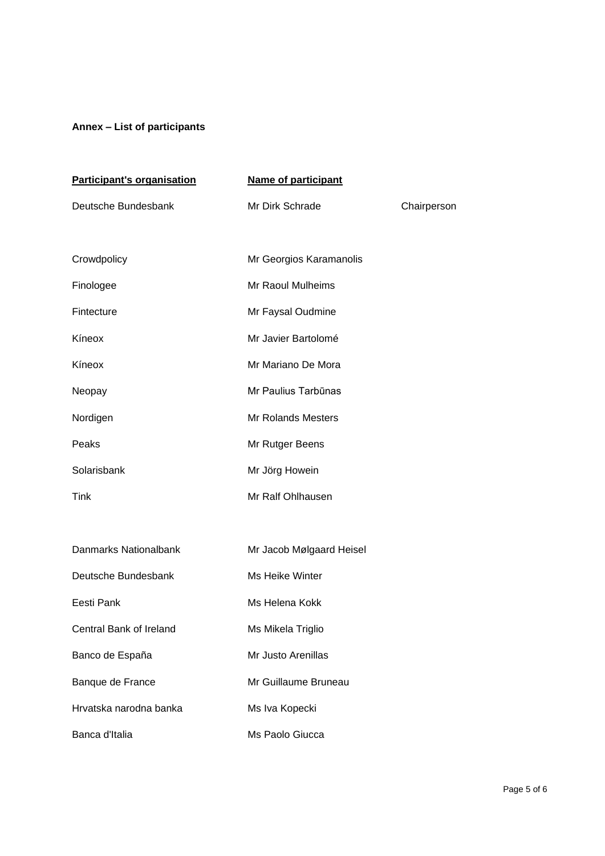# **Annex – List of participants**

| Participant's organisation | <b>Name of participant</b> |             |
|----------------------------|----------------------------|-------------|
| Deutsche Bundesbank        | Mr Dirk Schrade            | Chairperson |
|                            |                            |             |
| Crowdpolicy                | Mr Georgios Karamanolis    |             |
| Finologee                  | Mr Raoul Mulheims          |             |
| Fintecture                 | Mr Faysal Oudmine          |             |
| Kíneox                     | Mr Javier Bartolomé        |             |
| Kíneox                     | Mr Mariano De Mora         |             |
| Neopay                     | Mr Paulius Tarbūnas        |             |
| Nordigen                   | <b>Mr Rolands Mesters</b>  |             |
| Peaks                      | Mr Rutger Beens            |             |
| Solarisbank                | Mr Jörg Howein             |             |
| Tink                       | Mr Ralf Ohlhausen          |             |
|                            |                            |             |
| Danmarks Nationalbank      | Mr Jacob Mølgaard Heisel   |             |
| Deutsche Bundesbank        | Ms Heike Winter            |             |
| Eesti Pank                 | Ms Helena Kokk             |             |
| Central Bank of Ireland    | Ms Mikela Triglio          |             |
| Banco de España            | Mr Justo Arenillas         |             |
| Banque de France           | Mr Guillaume Bruneau       |             |
| Hrvatska narodna banka     | Ms Iva Kopecki             |             |
| Banca d'Italia             | Ms Paolo Giucca            |             |